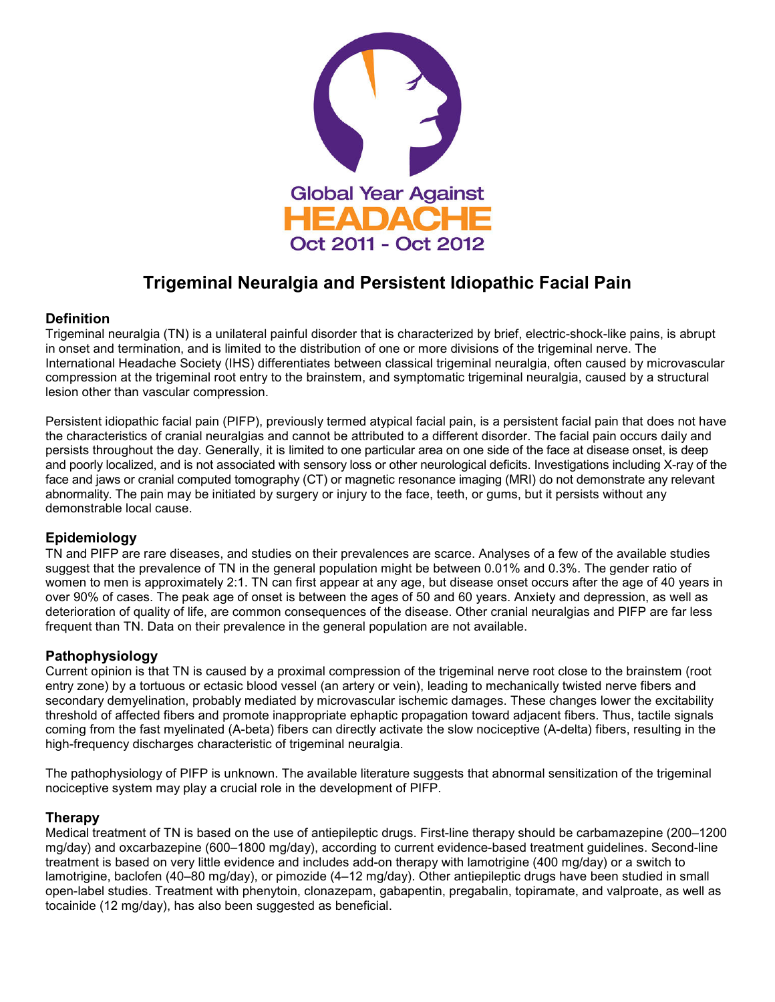

# **Trigeminal Neuralgia and Persistent Idiopathic Facial Pain**

### **Definition**

Trigeminal neuralgia (TN) is a unilateral painful disorder that is characterized by brief, electric-shock-like pains, is abrupt in onset and termination, and is limited to the distribution of one or more divisions of the trigeminal nerve. The International Headache Society (IHS) differentiates between classical trigeminal neuralgia, often caused by microvascular compression at the trigeminal root entry to the brainstem, and symptomatic trigeminal neuralgia, caused by a structural lesion other than vascular compression.

Persistent idiopathic facial pain (PIFP), previously termed atypical facial pain, is a persistent facial pain that does not have the characteristics of cranial neuralgias and cannot be attributed to a different disorder. The facial pain occurs daily and persists throughout the day. Generally, it is limited to one particular area on one side of the face at disease onset, is deep and poorly localized, and is not associated with sensory loss or other neurological deficits. Investigations including X-ray of the face and jaws or cranial computed tomography (CT) or magnetic resonance imaging (MRI) do not demonstrate any relevant abnormality. The pain may be initiated by surgery or injury to the face, teeth, or gums, but it persists without any demonstrable local cause.

#### **Epidemiology**

TN and PIFP are rare diseases, and studies on their prevalences are scarce. Analyses of a few of the available studies suggest that the prevalence of TN in the general population might be between 0.01% and 0.3%. The gender ratio of women to men is approximately 2:1. TN can first appear at any age, but disease onset occurs after the age of 40 years in over 90% of cases. The peak age of onset is between the ages of 50 and 60 years. Anxiety and depression, as well as deterioration of quality of life, are common consequences of the disease. Other cranial neuralgias and PIFP are far less frequent than TN. Data on their prevalence in the general population are not available.

## **Pathophysiology**

Current opinion is that TN is caused by a proximal compression of the trigeminal nerve root close to the brainstem (root entry zone) by a tortuous or ectasic blood vessel (an artery or vein), leading to mechanically twisted nerve fibers and secondary demyelination, probably mediated by microvascular ischemic damages. These changes lower the excitability threshold of affected fibers and promote inappropriate ephaptic propagation toward adjacent fibers. Thus, tactile signals coming from the fast myelinated (A-beta) fibers can directly activate the slow nociceptive (A-delta) fibers, resulting in the high-frequency discharges characteristic of trigeminal neuralgia.

The pathophysiology of PIFP is unknown. The available literature suggests that abnormal sensitization of the trigeminal nociceptive system may play a crucial role in the development of PIFP.

#### **Therapy**

Medical treatment of TN is based on the use of antiepileptic drugs. First-line therapy should be carbamazepine (200–1200 mg/day) and oxcarbazepine (600–1800 mg/day), according to current evidence-based treatment guidelines. Second-line treatment is based on very little evidence and includes add-on therapy with lamotrigine (400 mg/day) or a switch to lamotrigine, baclofen (40–80 mg/day), or pimozide (4–12 mg/day). Other antiepileptic drugs have been studied in small open-label studies. Treatment with phenytoin, clonazepam, gabapentin, pregabalin, topiramate, and valproate, as well as tocainide (12 mg/day), has also been suggested as beneficial.